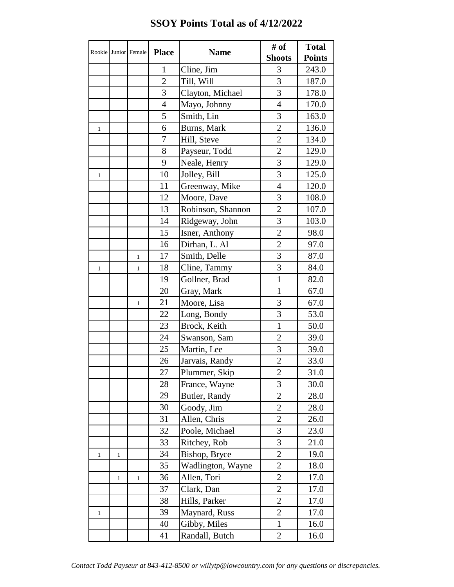| Rookie       |              | Junior Female | <b>Place</b>   | <b>Name</b>       | # of           | <b>Total</b>  |
|--------------|--------------|---------------|----------------|-------------------|----------------|---------------|
|              |              |               |                |                   | <b>Shoots</b>  | <b>Points</b> |
|              |              |               | $\mathbf{1}$   | Cline, Jim        | 3              | 243.0         |
|              |              |               | $\overline{2}$ | Till, Will        | 3              | 187.0         |
|              |              |               | 3              | Clayton, Michael  | 3              | 178.0         |
|              |              |               | $\overline{4}$ | Mayo, Johnny      | $\overline{4}$ | 170.0         |
|              |              |               | 5              | Smith, Lin        | $\overline{3}$ | 163.0         |
| $\mathbf{1}$ |              |               | 6              | Burns, Mark       | $\overline{2}$ | 136.0         |
|              |              |               | $\overline{7}$ | Hill, Steve       | $\overline{2}$ | 134.0         |
|              |              |               | 8              | Payseur, Todd     | $\overline{2}$ | 129.0         |
|              |              |               | 9              | Neale, Henry      | 3              | 129.0         |
| $\mathbf{1}$ |              |               | 10             | Jolley, Bill      | 3              | 125.0         |
|              |              |               | 11             | Greenway, Mike    | $\overline{4}$ | 120.0         |
|              |              |               | 12             | Moore, Dave       | 3              | 108.0         |
|              |              |               | 13             | Robinson, Shannon | $\overline{2}$ | 107.0         |
|              |              |               | 14             | Ridgeway, John    | 3              | 103.0         |
|              |              |               | 15             | Isner, Anthony    | $\overline{2}$ | 98.0          |
|              |              |               | 16             | Dirhan, L. Al     | $\overline{2}$ | 97.0          |
|              |              | $\mathbf{1}$  | 17             | Smith, Delle      | 3              | 87.0          |
| $\mathbf{1}$ |              | 1             | 18             | Cline, Tammy      | $\overline{3}$ | 84.0          |
|              |              |               | 19             | Gollner, Brad     | $\mathbf{1}$   | 82.0          |
|              |              |               | 20             | Gray, Mark        | $\mathbf{1}$   | 67.0          |
|              |              | $\mathbf{1}$  | 21             | Moore, Lisa       | 3              | 67.0          |
|              |              |               | 22             | Long, Bondy       | 3              | 53.0          |
|              |              |               | 23             | Brock, Keith      | $\mathbf{1}$   | 50.0          |
|              |              |               | 24             | Swanson, Sam      | $\overline{2}$ | 39.0          |
|              |              |               | 25             | Martin, Lee       | 3              | 39.0          |
|              |              |               | $26\,$         | Jarvais, Randy    | $\overline{2}$ | 33.0          |
|              |              |               | 27             | Plummer, Skip     | $\overline{2}$ | 31.0          |
|              |              |               | 28             | France, Wayne     | $\overline{3}$ | 30.0          |
|              |              |               | 29             | Butler, Randy     | $\overline{2}$ | 28.0          |
|              |              |               | 30             | Goody, Jim        | $\overline{2}$ | 28.0          |
|              |              |               | 31             | Allen, Chris      | $\overline{2}$ | 26.0          |
|              |              |               | 32             | Poole, Michael    | 3              | 23.0          |
|              |              |               | 33             | Ritchey, Rob      | 3              | 21.0          |
| $\mathbf{1}$ | $\mathbf{1}$ |               | 34             | Bishop, Bryce     | $\overline{2}$ | 19.0          |
|              |              |               | 35             | Wadlington, Wayne | $\overline{2}$ | 18.0          |
|              | $\mathbf{1}$ | $1\,$         | 36             | Allen, Tori       | $\overline{2}$ | 17.0          |
|              |              |               | 37             | Clark, Dan        | $\overline{2}$ | 17.0          |
|              |              |               | 38             | Hills, Parker     | $\overline{2}$ | 17.0          |
| $\mathbf{1}$ |              |               | 39             | Maynard, Russ     | $\overline{2}$ | 17.0          |
|              |              |               | 40             | Gibby, Miles      | $\mathbf{1}$   | 16.0          |
|              |              |               | 41             | Randall, Butch    | $\mathbf{2}$   | 16.0          |

## **SSOY Points Total as of 4/12/2022**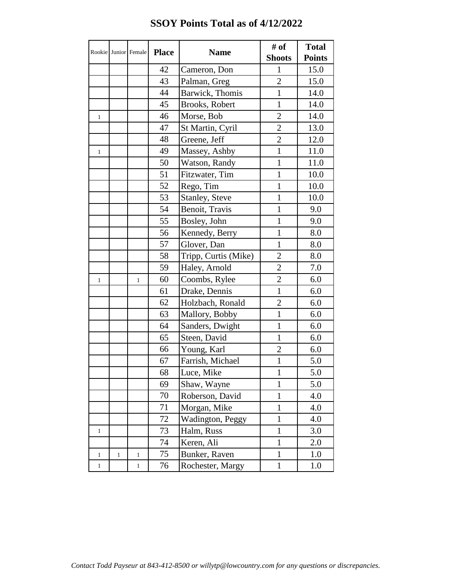|              |       | Rookie Junior Female | <b>Place</b> | <b>Name</b>          | # of<br><b>Shoots</b> | <b>Total</b>  |
|--------------|-------|----------------------|--------------|----------------------|-----------------------|---------------|
|              |       |                      |              |                      |                       | <b>Points</b> |
|              |       |                      | 42           | Cameron, Don         | $\mathbf{1}$          | 15.0          |
|              |       |                      | 43           | Palman, Greg         | $\overline{2}$        | 15.0          |
|              |       |                      | 44           | Barwick, Thomis      | $\mathbf{1}$          | 14.0          |
|              |       |                      | 45           | Brooks, Robert       | $\mathbf{1}$          | 14.0          |
| 1            |       |                      | 46           | Morse, Bob           | $\overline{2}$        | 14.0          |
|              |       |                      | 47           | St Martin, Cyril     | $\overline{2}$        | 13.0          |
|              |       |                      | 48           | Greene, Jeff         | $\overline{2}$        | 12.0          |
| $\mathbf{1}$ |       |                      | 49           | Massey, Ashby        | $\mathbf{1}$          | 11.0          |
|              |       |                      | 50           | Watson, Randy        | $\mathbf{1}$          | 11.0          |
|              |       |                      | 51           | Fitzwater, Tim       | $\mathbf{1}$          | 10.0          |
|              |       |                      | 52           | Rego, Tim            | $\mathbf{1}$          | 10.0          |
|              |       |                      | 53           | Stanley, Steve       | $\mathbf{1}$          | 10.0          |
|              |       |                      | 54           | Benoit, Travis       | $\mathbf{1}$          | 9.0           |
|              |       |                      | 55           | Bosley, John         | $\mathbf{1}$          | 9.0           |
|              |       |                      | 56           | Kennedy, Berry       | $\mathbf{1}$          | 8.0           |
|              |       |                      | 57           | Glover, Dan          | $\mathbf{1}$          | 8.0           |
|              |       |                      | 58           | Tripp, Curtis (Mike) | $\overline{2}$        | 8.0           |
|              |       |                      | 59           | Haley, Arnold        | $\overline{c}$        | 7.0           |
| $\mathbf{1}$ |       | $\mathbf{1}$         | 60           | Coombs, Rylee        | $\overline{2}$        | 6.0           |
|              |       |                      | 61           | Drake, Dennis        | $\mathbf{1}$          | 6.0           |
|              |       |                      | 62           | Holzbach, Ronald     | $\overline{2}$        | 6.0           |
|              |       |                      | 63           | Mallory, Bobby       | $\mathbf{1}$          | 6.0           |
|              |       |                      | 64           | Sanders, Dwight      | $\mathbf{1}$          | 6.0           |
|              |       |                      | 65           | Steen, David         | $\mathbf{1}$          | 6.0           |
|              |       |                      | 66           | Young, Karl          | $\overline{2}$        | 6.0           |
|              |       |                      | 67           | Farrish, Michael     | $\mathbf{1}$          | 5.0           |
|              |       |                      | 68           | Luce, Mike           | $\mathbf{1}$          | 5.0           |
|              |       |                      | 69           | Shaw, Wayne          | $\mathbf{1}$          | 5.0           |
|              |       |                      | 70           | Roberson, David      | $\mathbf{1}$          | 4.0           |
|              |       |                      | 71           | Morgan, Mike         | $\mathbf{1}$          | 4.0           |
|              |       |                      | 72           | Wadington, Peggy     | $\mathbf{1}$          | 4.0           |
| $\mathbf{1}$ |       |                      | 73           | Halm, Russ           | $\mathbf{1}$          | 3.0           |
|              |       |                      | 74           | Keren, Ali           | $\mathbf{1}$          | 2.0           |
| $\mathbf{1}$ | $\,1$ | $\mathbf{1}$         | 75           | Bunker, Raven        | $\mathbf{1}$          | 1.0           |
| $\mathbf{1}$ |       | $\mathbf{1}$         | 76           | Rochester, Margy     | $\mathbf{1}$          | 1.0           |

## **SSOY Points Total as of 4/12/2022**